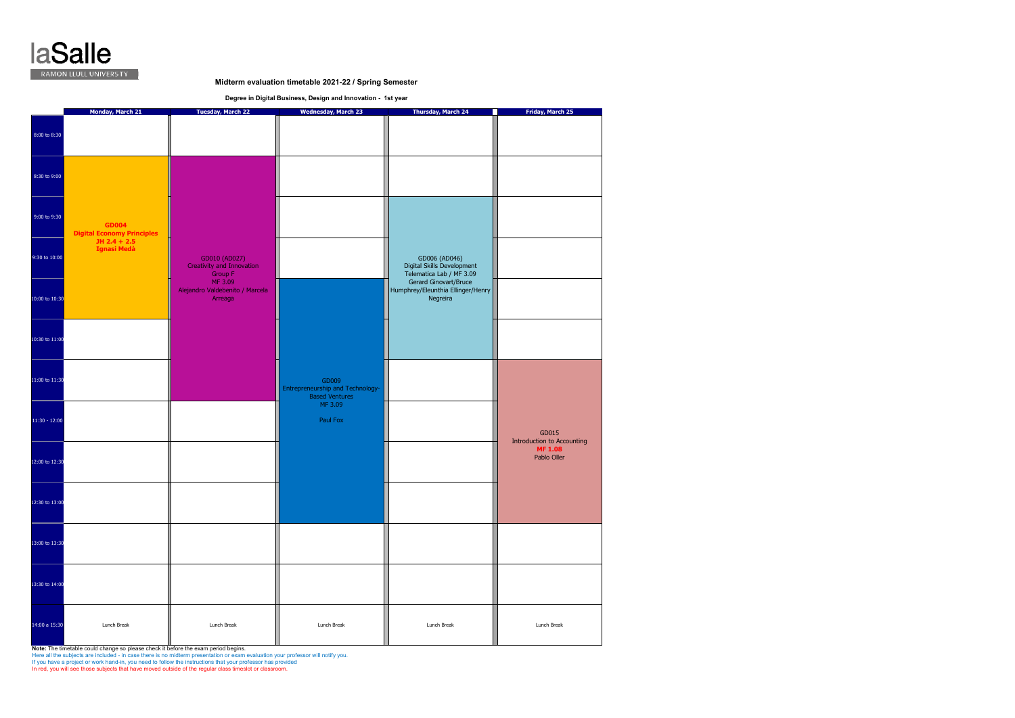

## **Midterm evaluation timetable 2021-22 / Spring Semester**

**Degree in Digital Business, Design and Innovation - 1st year** 

|                 |                                                                     | Monday, March 21<br><b>Tuesday, March 22</b>                            |                                                                               | <b>Thursday, March 24</b><br><b>The Contract</b>                                                 | Friday, March 25                                                            |
|-----------------|---------------------------------------------------------------------|-------------------------------------------------------------------------|-------------------------------------------------------------------------------|--------------------------------------------------------------------------------------------------|-----------------------------------------------------------------------------|
| 8:00 to 8:30    |                                                                     |                                                                         | <b>Wednesday, March 23</b>                                                    |                                                                                                  |                                                                             |
| 8:30 to 9:00    |                                                                     |                                                                         |                                                                               |                                                                                                  |                                                                             |
| 9:00 to 9:30    | <b>GD004</b><br><b>Digital Economy Principles</b><br>$JH 2.4 + 2.5$ |                                                                         |                                                                               |                                                                                                  |                                                                             |
| 9:30 to 10:00   | Ignasi Medà                                                         | GD010 (AD027)<br><b>Creativity and Innovation</b><br>Group F<br>MF 3.09 |                                                                               | GD006 (AD046)<br>Digital Skills Development<br>Telematica Lab / MF 3.09<br>Gerard Ginovart/Bruce |                                                                             |
| 10:00 to 10:30  |                                                                     | Alejandro Valdebenito / Marcela<br>Arreaga                              |                                                                               | Humphrey/Eleunthia Ellinger/Henry<br>Negreira                                                    |                                                                             |
| 10:30 to 11:00  |                                                                     |                                                                         |                                                                               |                                                                                                  |                                                                             |
| 11:00 to 11:30  |                                                                     |                                                                         | GD009<br>Entrepreneurship and Technology-<br><b>Based Ventures</b><br>MF 3.09 |                                                                                                  |                                                                             |
| $11:30 - 12:00$ |                                                                     |                                                                         | Paul Fox                                                                      |                                                                                                  | GD015<br><b>Introduction to Accounting</b><br><b>MF 1.08</b><br>Pablo Oller |
| 12:00 to 12:30  |                                                                     |                                                                         |                                                                               |                                                                                                  |                                                                             |
| 12:30 to 13:00  |                                                                     |                                                                         |                                                                               |                                                                                                  |                                                                             |
| 13:00 to 13:30  |                                                                     |                                                                         |                                                                               |                                                                                                  |                                                                             |
| 13:30 to 14:00  |                                                                     |                                                                         |                                                                               |                                                                                                  |                                                                             |
| 14:00 a 15:30   | Lunch Break                                                         | Lunch Break                                                             | Lunch Break                                                                   | Lunch Break                                                                                      | Lunch Break                                                                 |

**Note: The timetable could change so please check it before the exam period begins.**<br>Here all the subjects are included - in case there is no midterm presentation or exam evaluation your professor will notify you.<br>If you h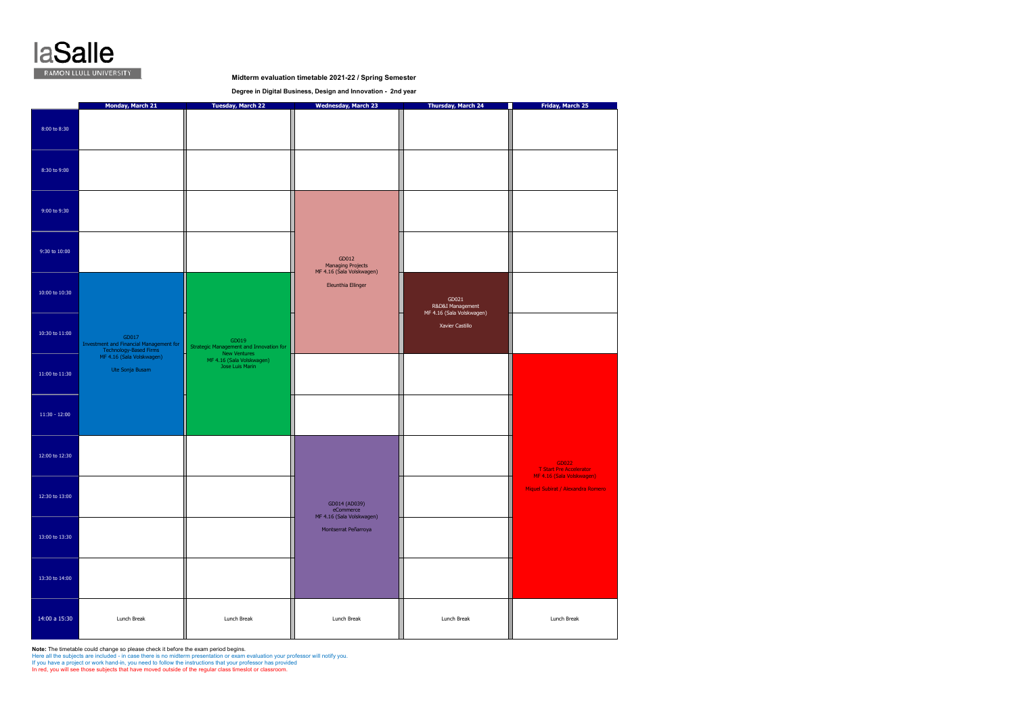

**Midterm evaluation timetable 2021-22 / Spring Semester**

**Degree in Digital Business, Design and Innovation - 2nd year** 

|                    | Monday, March 21                                                                                        | <b>Tuesday, March 22</b>                                                                      | <b>Wednesday, March 23</b>                                     | <b>Thursday, March 24</b>                              | Friday, March 25                                                     |
|--------------------|---------------------------------------------------------------------------------------------------------|-----------------------------------------------------------------------------------------------|----------------------------------------------------------------|--------------------------------------------------------|----------------------------------------------------------------------|
| 8:00 to 8:30       |                                                                                                         |                                                                                               |                                                                |                                                        |                                                                      |
| 8:30 to 9:00       |                                                                                                         |                                                                                               |                                                                |                                                        |                                                                      |
| 9:00 to 9:30       |                                                                                                         |                                                                                               |                                                                |                                                        |                                                                      |
| 9:30 to 10:00      |                                                                                                         |                                                                                               | GD012<br><b>Managing Projects</b><br>MF 4.16 (Sala Volskwagen) |                                                        |                                                                      |
| 10:00 to 10:30     |                                                                                                         |                                                                                               | Eleunthia Ellinger                                             | GD021<br>R&D&I Management<br>MF 4.16 (Sala Volskwagen) |                                                                      |
| $10:30$ to $11:00$ | GD017<br>Investment and Financial Management for<br>Technology-Based Firms<br>MF 4.16 (Sala Volskwagen) | GD019<br>Strategic Management and Innovation for<br>New Ventures<br>MF 4.16 (Sala Volskwagen) |                                                                | Xavier Castillo                                        |                                                                      |
| 11:00 to 11:30     | Ute Sonja Busam                                                                                         | Jose Luis Marin                                                                               |                                                                |                                                        |                                                                      |
| $11:30 - 12:00$    |                                                                                                         |                                                                                               |                                                                |                                                        |                                                                      |
| 12:00 to 12:30     |                                                                                                         |                                                                                               |                                                                |                                                        | GD022<br><b>T Start Pre Accelerator</b><br>MF 4.16 (Sala Volskwagen) |
| 12:30 to 13:00     |                                                                                                         |                                                                                               | GD014 (AD039)<br>eCommerce<br>MF 4.16 (Sala Volskwagen)        |                                                        | Miquel Subirat / Alexandra Romero                                    |
| 13:00 to 13:30     |                                                                                                         |                                                                                               | Montserrat Peñarroya                                           |                                                        |                                                                      |
| 13:30 to 14:00     |                                                                                                         |                                                                                               |                                                                |                                                        |                                                                      |
| 14:00 a 15:30      | Lunch Break                                                                                             | Lunch Break                                                                                   | Lunch Break                                                    | Lunch Break                                            | Lunch Break                                                          |

**Note:** The timetable could change so please check it before the exam period begins.<br>Here all the subjects are included - in case there is no midterm presentation or exam evaluation your professor will notify you.<br>If you h